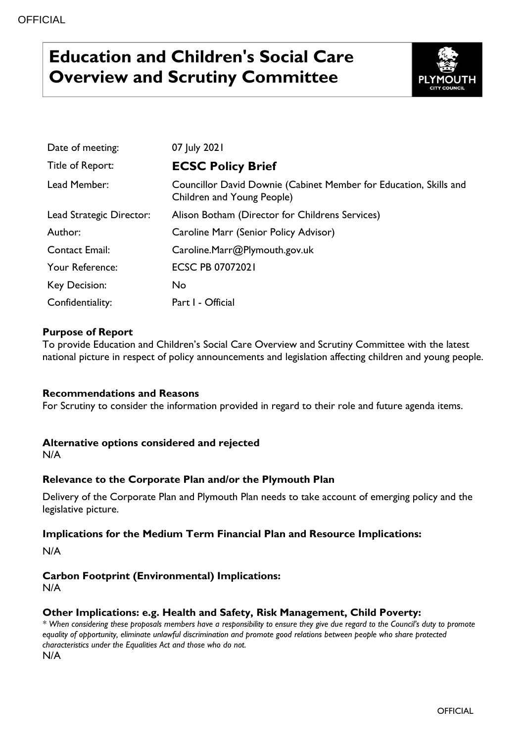# **Education and Children's Social Care Overview and Scrutiny Committee**



| Date of meeting:         | 07 July 2021                                                                                    |
|--------------------------|-------------------------------------------------------------------------------------------------|
| Title of Report:         | <b>ECSC Policy Brief</b>                                                                        |
| Lead Member:             | Councillor David Downie (Cabinet Member for Education, Skills and<br>Children and Young People) |
| Lead Strategic Director: | Alison Botham (Director for Childrens Services)                                                 |
| Author:                  | Caroline Marr (Senior Policy Advisor)                                                           |
| <b>Contact Email:</b>    | Caroline.Marr@Plymouth.gov.uk                                                                   |
| Your Reference:          | <b>ECSC PB 07072021</b>                                                                         |
| <b>Key Decision:</b>     | No                                                                                              |
| Confidentiality:         | Part I - Official                                                                               |

## **Purpose of Report**

To provide Education and Children's Social Care Overview and Scrutiny Committee with the latest national picture in respect of policy announcements and legislation affecting children and young people.

## **Recommendations and Reasons**

For Scrutiny to consider the information provided in regard to their role and future agenda items.

## **Alternative options considered and rejected**

N/A

## **Relevance to the Corporate Plan and/or the Plymouth Plan**

Delivery of the Corporate Plan and Plymouth Plan needs to take account of emerging policy and the legislative picture.

#### **Implications for the Medium Term Financial Plan and Resource Implications:**

N/A

## **Carbon Footprint (Environmental) Implications:**

N/A

## **Other Implications: e.g. Health and Safety, Risk Management, Child Poverty:**

*\* When considering these proposals members have a responsibility to ensure they give due regard to the Council's duty to promote equality of opportunity, eliminate unlawful discrimination and promote good relations between people who share protected characteristics under the Equalities Act and those who do not.* N/A